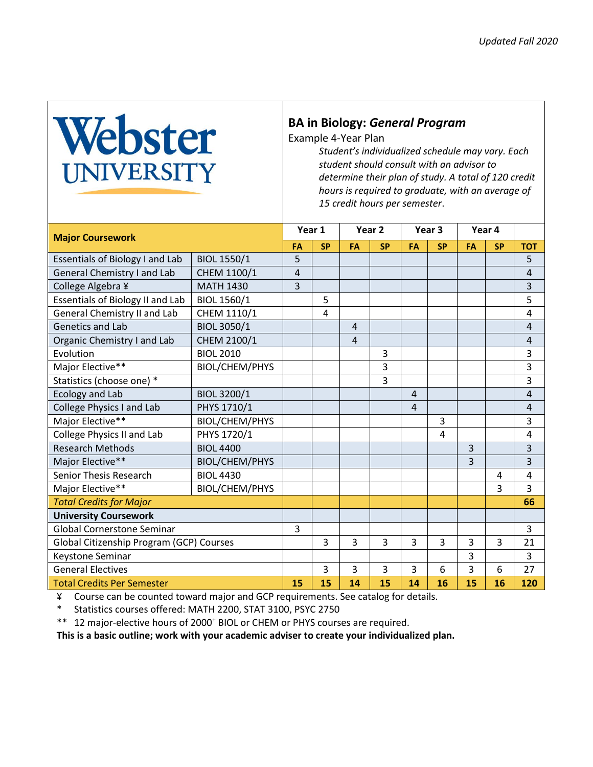## Webster

## **BA in Biology:** *General Program*

Example 4-Year Plan

*Student's individualized schedule may vary. Each student should consult with an advisor to determine their plan of study. A total of 120 credit hours is required to graduate, with an average of 15 credit hours per semester*.

| <b>Major Coursework</b>                  |                       | Year 1 |           | Year <sub>2</sub> |           | Year 3         |           | Year 4 |           |                |
|------------------------------------------|-----------------------|--------|-----------|-------------------|-----------|----------------|-----------|--------|-----------|----------------|
|                                          |                       | FA     | <b>SP</b> | FA                | <b>SP</b> | <b>FA</b>      | <b>SP</b> | FA     | <b>SP</b> | <b>TOT</b>     |
| Essentials of Biology I and Lab          | <b>BIOL 1550/1</b>    | 5      |           |                   |           |                |           |        |           | 5              |
| <b>General Chemistry I and Lab</b>       | CHEM 1100/1           | 4      |           |                   |           |                |           |        |           | $\overline{4}$ |
| College Algebra ¥                        | <b>MATH 1430</b>      | 3      |           |                   |           |                |           |        |           | 3              |
| Essentials of Biology II and Lab         | BIOL 1560/1           |        | 5         |                   |           |                |           |        |           | 5              |
| General Chemistry II and Lab             | CHEM 1110/1           |        | 4         |                   |           |                |           |        |           | 4              |
| <b>Genetics and Lab</b>                  | <b>BIOL 3050/1</b>    |        |           | 4                 |           |                |           |        |           | 4              |
| Organic Chemistry I and Lab              | CHEM 2100/1           |        |           | $\overline{4}$    |           |                |           |        |           | $\overline{4}$ |
| Evolution                                | <b>BIOL 2010</b>      |        |           |                   | 3         |                |           |        |           | 3              |
| Major Elective**                         | BIOL/CHEM/PHYS        |        |           |                   | 3         |                |           |        |           | 3              |
| Statistics (choose one) *                |                       |        |           |                   | 3         |                |           |        |           | 3              |
| Ecology and Lab                          | BIOL 3200/1           |        |           |                   |           | $\overline{4}$ |           |        |           | 4              |
| College Physics I and Lab                | PHYS 1710/1           |        |           |                   |           | $\overline{4}$ |           |        |           | $\overline{4}$ |
| Major Elective**                         | <b>BIOL/CHEM/PHYS</b> |        |           |                   |           |                | 3         |        |           | 3              |
| College Physics II and Lab               | PHYS 1720/1           |        |           |                   |           |                | 4         |        |           | 4              |
| <b>Research Methods</b>                  | <b>BIOL 4400</b>      |        |           |                   |           |                |           | 3      |           | 3              |
| Major Elective**                         | <b>BIOL/CHEM/PHYS</b> |        |           |                   |           |                |           | 3      |           | 3              |
| <b>Senior Thesis Research</b>            | <b>BIOL 4430</b>      |        |           |                   |           |                |           |        | 4         | 4              |
| Major Elective**                         | <b>BIOL/CHEM/PHYS</b> |        |           |                   |           |                |           |        | 3         | 3              |
| <b>Total Credits for Major</b>           |                       |        |           |                   |           |                |           |        |           | 66             |
| <b>University Coursework</b>             |                       |        |           |                   |           |                |           |        |           |                |
| <b>Global Cornerstone Seminar</b>        |                       | 3      |           |                   |           |                |           |        |           | 3              |
| Global Citizenship Program (GCP) Courses |                       |        | 3         | 3                 | 3         | 3              | 3         | 3      | 3         | 21             |
| Keystone Seminar                         |                       |        |           |                   |           |                |           | 3      |           | 3              |
| <b>General Electives</b>                 |                       |        | 3         | 3                 | 3         | 3              | 6         | 3      | 6         | 27             |
| <b>Total Credits Per Semester</b>        |                       | 15     | 15        | 14                | 15        | 14             | 16        | 15     | 16        | 120            |

¥ Course can be counted toward major and GCP requirements. See catalog for details.

\* Statistics courses offered: MATH 2200, STAT 3100, PSYC 2750

\*\* 12 major-elective hours of 2000<sup>+</sup> BIOL or CHEM or PHYS courses are required.

**This is a basic outline; work with your academic adviser to create your individualized plan.**